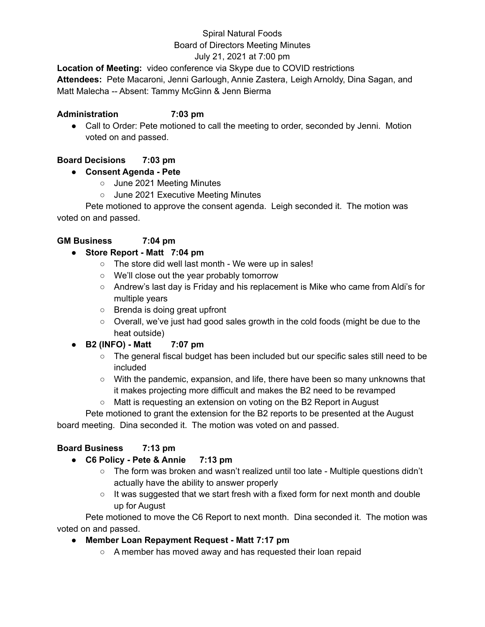# Spiral Natural Foods

# Board of Directors Meeting Minutes

# July 21, 2021 at 7:00 pm

**Location of Meeting:** video conference via Skype due to COVID restrictions **Attendees:** Pete Macaroni, Jenni Garlough, Annie Zastera, Leigh Arnoldy, Dina Sagan, and Matt Malecha -- Absent: Tammy McGinn & Jenn Bierma

#### **Administration 7:03 pm**

● Call to Order: Pete motioned to call the meeting to order, seconded by Jenni. Motion voted on and passed.

# **Board Decisions 7:03 pm**

# **● Consent Agenda - Pete**

- June 2021 Meeting Minutes
- June 2021 Executive Meeting Minutes

Pete motioned to approve the consent agenda. Leigh seconded it. The motion was voted on and passed.

# **GM Business 7:04 pm**

# **● Store Report - Matt 7:04 pm**

- The store did well last month We were up in sales!
- We'll close out the year probably tomorrow
- Andrew's last day is Friday and his replacement is Mike who came from Aldi's for multiple years
- Brenda is doing great upfront
- Overall, we've just had good sales growth in the cold foods (might be due to the heat outside)
- **● B2 (INFO) - Matt 7:07 pm**
	- The general fiscal budget has been included but our specific sales still need to be included
	- With the pandemic, expansion, and life, there have been so many unknowns that it makes projecting more difficult and makes the B2 need to be revamped
	- Matt is requesting an extension on voting on the B2 Report in August

Pete motioned to grant the extension for the B2 reports to be presented at the August board meeting. Dina seconded it. The motion was voted on and passed.

## **Board Business 7:13 pm**

- **● C6 Policy - Pete & Annie 7:13 pm**
	- The form was broken and wasn't realized until too late Multiple questions didn't actually have the ability to answer properly
	- $\circ$  It was suggested that we start fresh with a fixed form for next month and double up for August

Pete motioned to move the C6 Report to next month. Dina seconded it. The motion was voted on and passed.

## **● Member Loan Repayment Request - Matt 7:17 pm**

○ A member has moved away and has requested their loan repaid